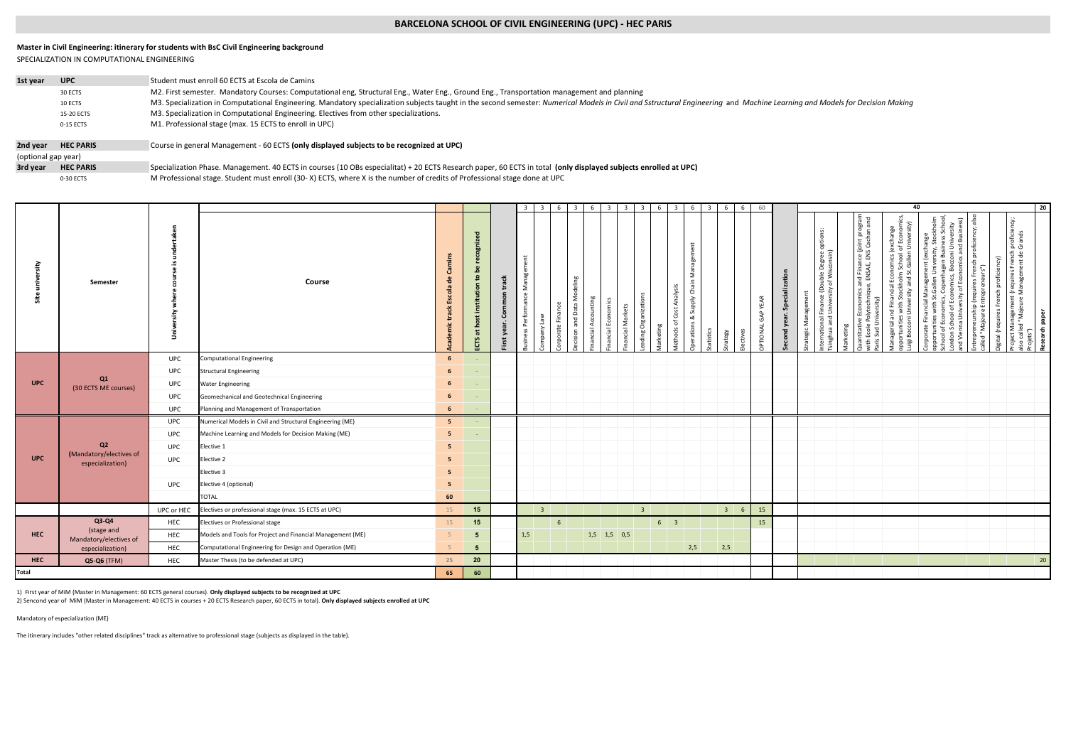## **BARCELONA SCHOOL OF CIVIL ENGINEERING (UPC) - HEC PARIS**

## SPECIALIZATION IN COMPUTATIONAL ENGINEERING **Master in Civil Engineering: itinerary for students with BsC Civil Engineering background**

| 1st year            | <b>UPC</b>       | Student must enroll 60 ECTS at Escola de Camins                                                                                                                                                                             |
|---------------------|------------------|-----------------------------------------------------------------------------------------------------------------------------------------------------------------------------------------------------------------------------|
|                     | 30 ECTS          | M2. First semester. Mandatory Courses: Computational eng, Structural Eng., Water Eng., Ground Eng., Transportation management and planning                                                                                  |
|                     | 10 ECTS          | M3. Specialization in Computational Engineering. Mandatory specialization subjects taught in the second semester: Numerical Models in Civil and Sstructural Engineering and Machine Learning and Models for Decision Making |
|                     | 15-20 ECTS       | M3. Specialization in Computational Engineering. Electives from other specializations.                                                                                                                                      |
|                     | 0-15 ECTS        | M1. Professional stage (max. 15 ECTS to enroll in UPC)                                                                                                                                                                      |
|                     |                  |                                                                                                                                                                                                                             |
| 2nd vear            | <b>HEC PARIS</b> | Course in general Management - 60 ECTS (only displayed subjects to be recognized at UPC)                                                                                                                                    |
| (optional gap year) |                  |                                                                                                                                                                                                                             |
| 3rd vear            | <b>HEC PARIS</b> | Specialization Phase. Management. 40 ECTS in courses (10 OBs especialitat) + 20 ECTS Research paper, 60 ECTS in total (only displayed subjects enrolled at UPC)                                                             |

0-30 ECTS M Professional stage. Student must enroll (30- X) ECTS, where X is the number of credits of Professional stage done at UPC

|              |                                           |            | $\overline{\mathbf{3}}$<br>$6 \quad 6$<br>60<br>$\overline{\mathbf{3}}$<br>6<br>$\overline{\mathbf{3}}$<br>6<br>- 6<br>3 I<br>$\overline{\mathbf{3}}$<br>6<br>$\mathbf{3}$<br>-3- |                                                   |                 |                |     |                         |                       |                                 |                |                          | 40<br>20   |                                                      |          |                |                                    |                      |  |                                                                                                                     |               |                                                                                                                                       |                                                                                                                                                     |                                                                                                                                                                                                                                                                                |                                                                                   |                                                                                                                                                   |                             |
|--------------|-------------------------------------------|------------|-----------------------------------------------------------------------------------------------------------------------------------------------------------------------------------|---------------------------------------------------|-----------------|----------------|-----|-------------------------|-----------------------|---------------------------------|----------------|--------------------------|------------|------------------------------------------------------|----------|----------------|------------------------------------|----------------------|--|---------------------------------------------------------------------------------------------------------------------|---------------|---------------------------------------------------------------------------------------------------------------------------------------|-----------------------------------------------------------------------------------------------------------------------------------------------------|--------------------------------------------------------------------------------------------------------------------------------------------------------------------------------------------------------------------------------------------------------------------------------|-----------------------------------------------------------------------------------|---------------------------------------------------------------------------------------------------------------------------------------------------|-----------------------------|
| Site         | Semester                                  | ake<br>ŝ   | Course                                                                                                                                                                            | min <sub>s</sub><br><sup>e</sup><br>cola<br>track | ្ធ<br>ដ         | ᅗ<br>tra<br>ತಿ |     | щ<br>pa                 | deling<br>ž<br>ä<br>τ | 똗<br>콜<br>ACC<br>$\overline{a}$ | ancial Markets | guo<br>Φ<br>Organi<br>50 | larketing  | Analysis<br>ō<br>Nadr<br>Cost<br>οX<br>đ<br>əďs<br>Ê | atistics | ଇ              | YEAR<br>GAP <sup>-</sup><br>č<br>Ē | xtion<br>ஃ<br>۶<br>질 |  | ance (Double Degree options:<br>iversity of Wisconsin)<br>ŧ<br>Jnive<br>운<br>$\frac{1}{2}$<br>ž<br>E<br>÷.<br>trate | ting<br>arket | omics and Finance (joint program<br>hnique, ENSAE, ENS Cachan and<br>ূ≩<br>Polytecl<br>$\, \omega$<br>ntitativ<br>Ecole<br>Sud<br>도 있 | Aanagerial and Financial Economics (exchange<br>pportunities with Stockholm School of Economic<br>uigi Bocconi University and St.Gallen University) | nt (exchange<br>iversity, Stockholm<br>gen Business School,<br>occoni University<br>mics and Business)<br>nomics, Boccor<br>of Economics<br>Gallen Uni<br>porate Financial Managemer<br>ortunities with St.Gallen Un<br>둗<br>ă<br>of Econ<br>ersity<br>nna Univ<br>ਨ<br>ठ<br>ā | iency; also<br>repreneurship (requires French prof<br>ed "Majeure Entrepreneurs") | s French proficiency;<br>nent de Grands<br>S)<br>roject Management (requires<br>Iso called "Majeure Managem<br>ch profici<br>res Fren<br>al (requ | Research paper<br>Projets") |
|              | Q1<br>(30 ECTS ME courses)                | <b>UPC</b> | <b>Computational Engineering</b>                                                                                                                                                  | 6                                                 |                 |                |     |                         |                       |                                 |                |                          |            |                                                      |          |                |                                    |                      |  |                                                                                                                     |               |                                                                                                                                       |                                                                                                                                                     |                                                                                                                                                                                                                                                                                |                                                                                   |                                                                                                                                                   |                             |
|              |                                           | <b>UPC</b> | <b>Structural Engineering</b>                                                                                                                                                     | $\boldsymbol{6}$                                  |                 |                |     |                         |                       |                                 |                |                          |            |                                                      |          |                |                                    |                      |  |                                                                                                                     |               |                                                                                                                                       |                                                                                                                                                     |                                                                                                                                                                                                                                                                                |                                                                                   |                                                                                                                                                   |                             |
| <b>UPC</b>   |                                           | <b>UPC</b> | <b>Water Engineering</b>                                                                                                                                                          | $\boldsymbol{6}$                                  |                 |                |     |                         |                       |                                 |                |                          |            |                                                      |          |                |                                    |                      |  |                                                                                                                     |               |                                                                                                                                       |                                                                                                                                                     |                                                                                                                                                                                                                                                                                |                                                                                   |                                                                                                                                                   |                             |
|              |                                           | <b>UPC</b> | Geomechanical and Geotechnical Engineering                                                                                                                                        | $\boldsymbol{6}$                                  | $\sim$ $-$      |                |     |                         |                       |                                 |                |                          |            |                                                      |          |                |                                    |                      |  |                                                                                                                     |               |                                                                                                                                       |                                                                                                                                                     |                                                                                                                                                                                                                                                                                |                                                                                   |                                                                                                                                                   |                             |
|              |                                           | <b>UPC</b> | Planning and Management of Transportation                                                                                                                                         | 6 <sup>5</sup>                                    |                 |                |     |                         |                       |                                 |                |                          |            |                                                      |          |                |                                    |                      |  |                                                                                                                     |               |                                                                                                                                       |                                                                                                                                                     |                                                                                                                                                                                                                                                                                |                                                                                   |                                                                                                                                                   |                             |
|              |                                           | <b>UPC</b> | Numerical Models in Civil and Structural Engineering (ME)                                                                                                                         | 5 <sub>1</sub>                                    |                 |                |     |                         |                       |                                 |                |                          |            |                                                      |          |                |                                    |                      |  |                                                                                                                     |               |                                                                                                                                       |                                                                                                                                                     |                                                                                                                                                                                                                                                                                |                                                                                   |                                                                                                                                                   |                             |
|              |                                           | <b>UPC</b> | Machine Learning and Models for Decision Making (ME)                                                                                                                              | 5 <sub>5</sub>                                    |                 |                |     |                         |                       |                                 |                |                          |            |                                                      |          |                |                                    |                      |  |                                                                                                                     |               |                                                                                                                                       |                                                                                                                                                     |                                                                                                                                                                                                                                                                                |                                                                                   |                                                                                                                                                   |                             |
|              | Q <sub>2</sub><br>(Mandatory/electives of | <b>UPC</b> | Elective 1                                                                                                                                                                        | 5 <sub>1</sub>                                    |                 |                |     |                         |                       |                                 |                |                          |            |                                                      |          |                |                                    |                      |  |                                                                                                                     |               |                                                                                                                                       |                                                                                                                                                     |                                                                                                                                                                                                                                                                                |                                                                                   |                                                                                                                                                   |                             |
| <b>UPC</b>   | especialization)                          | <b>UPC</b> | Elective 2                                                                                                                                                                        | 5 <sub>5</sub>                                    |                 |                |     |                         |                       |                                 |                |                          |            |                                                      |          |                |                                    |                      |  |                                                                                                                     |               |                                                                                                                                       |                                                                                                                                                     |                                                                                                                                                                                                                                                                                |                                                                                   |                                                                                                                                                   |                             |
|              |                                           |            | Elective 3                                                                                                                                                                        | 5 <sub>1</sub>                                    |                 |                |     |                         |                       |                                 |                |                          |            |                                                      |          |                |                                    |                      |  |                                                                                                                     |               |                                                                                                                                       |                                                                                                                                                     |                                                                                                                                                                                                                                                                                |                                                                                   |                                                                                                                                                   |                             |
|              |                                           | <b>UPC</b> | Elective 4 (optional)                                                                                                                                                             | 5 <sub>5</sub>                                    |                 |                |     |                         |                       |                                 |                |                          |            |                                                      |          |                |                                    |                      |  |                                                                                                                     |               |                                                                                                                                       |                                                                                                                                                     |                                                                                                                                                                                                                                                                                |                                                                                   |                                                                                                                                                   |                             |
|              |                                           |            | <b>TOTAL</b>                                                                                                                                                                      | 60                                                |                 |                |     |                         |                       |                                 |                |                          |            |                                                      |          |                |                                    |                      |  |                                                                                                                     |               |                                                                                                                                       |                                                                                                                                                     |                                                                                                                                                                                                                                                                                |                                                                                   |                                                                                                                                                   |                             |
|              |                                           | UPC or HEC | Electives or professional stage (max. 15 ECTS at UPC)                                                                                                                             | 15                                                | 15              |                |     | $\overline{\mathbf{3}}$ |                       |                                 |                | 3 <sup>2</sup>           |            |                                                      |          | 3 <sup>1</sup> | 15<br>6                            |                      |  |                                                                                                                     |               |                                                                                                                                       |                                                                                                                                                     |                                                                                                                                                                                                                                                                                |                                                                                   |                                                                                                                                                   |                             |
|              | $Q3-Q4$<br>(stage and                     | HEC        | Electives or Professional stage                                                                                                                                                   | 15                                                | 15              |                |     |                         | $6\overline{6}$       |                                 |                |                          | $6 \mid 3$ |                                                      |          |                | 15                                 |                      |  |                                                                                                                     |               |                                                                                                                                       |                                                                                                                                                     |                                                                                                                                                                                                                                                                                |                                                                                   |                                                                                                                                                   |                             |
| <b>HEC</b>   | Mandatory/electives of                    | HEC        | Models and Tools for Project and Financial Management (ME)                                                                                                                        |                                                   | $5\overline{5}$ |                | 1,5 |                         |                       | $1,5$ 1,5 0,5                   |                |                          |            |                                                      |          |                |                                    |                      |  |                                                                                                                     |               |                                                                                                                                       |                                                                                                                                                     |                                                                                                                                                                                                                                                                                |                                                                                   |                                                                                                                                                   |                             |
|              | especialization)                          | HEC        | Computational Engineering for Design and Operation (ME)                                                                                                                           |                                                   | 5 <sup>5</sup>  |                |     |                         |                       |                                 |                |                          |            | 2,5                                                  |          | 2,5            |                                    |                      |  |                                                                                                                     |               |                                                                                                                                       |                                                                                                                                                     |                                                                                                                                                                                                                                                                                |                                                                                   |                                                                                                                                                   |                             |
| <b>HEC</b>   | Q5-Q6 (TFM)                               | HEC        | Master Thesis (to be defended at UPC)                                                                                                                                             | 25                                                | 20<br>60        |                |     |                         |                       |                                 |                |                          |            |                                                      |          |                |                                    |                      |  |                                                                                                                     |               |                                                                                                                                       |                                                                                                                                                     |                                                                                                                                                                                                                                                                                |                                                                                   |                                                                                                                                                   | 20                          |
| <b>Total</b> | 65                                        |            |                                                                                                                                                                                   |                                                   |                 |                |     |                         |                       |                                 |                |                          |            |                                                      |          |                |                                    |                      |  |                                                                                                                     |               |                                                                                                                                       |                                                                                                                                                     |                                                                                                                                                                                                                                                                                |                                                                                   |                                                                                                                                                   |                             |

1) First year of MiM (Master in Management: 60 ECTS general courses). **Only displayed subjects to be recognized at UPC**

2) Sencond year of MiM (Master in Management: 40 ECTS in courses + 20 ECTS Research paper, 60 ECTS in total). **Only displayed subjects enrolled at UPC**

Mandatory of especialization (ME)

The itinerary includes "other related disciplines" track as alternative to professional stage (subjects as displayed in the table).